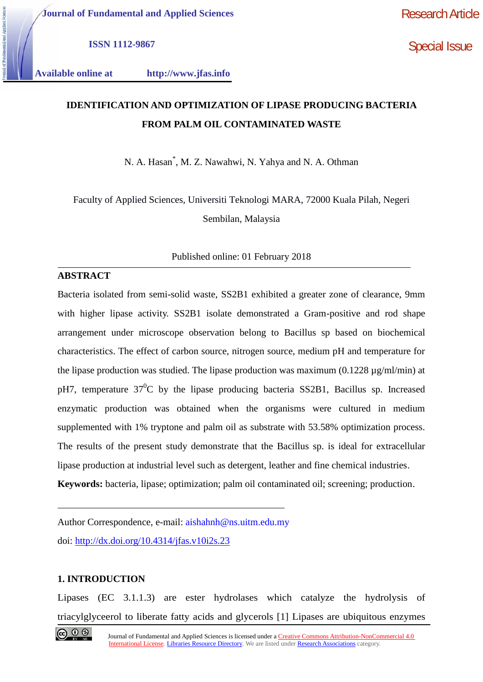**Journal of Fundamental and Applied Sciences**

Research Article

**ISSN 1112-9867**

Special Issue

**Available online at http://www.jfas.info**

# **IDENTIFICATION AND OPTIMIZATION OF LIPASE PRODUCING BACTERIA FROM PALM OIL CONTAMINATED WASTE**

N. A. Hasan\* , M. Z. Nawahwi, N. Yahya and N. A. Othman

Faculty of Applied Sciences, Universiti Teknologi MARA, 72000 Kuala Pilah, Negeri Sembilan, Malaysia

Published online: 01 February 2018

# **ABSTRACT**

Bacteria isolated from semi-solid waste, SS2B1 exhibited a greater zone of clearance, 9mm with higher lipase activity. SS2B1 isolate demonstrated a Gram-positive and rod shape arrangement under microscope observation belong to Bacillus sp based on biochemical characteristics. The effect of carbon source, nitrogen source, medium pH and temperature for the lipase production was studied. The lipase production was maximum  $(0.1228 \mu g/m/m)$  at pH7, temperature  $37^0C$  by the lipase producing bacteria SS2B1, Bacillus sp. Increased enzymatic production was obtained when the organisms were cultured in medium supplemented with 1% tryptone and palm oil as substrate with 53.58% optimization process. The results of the present study demonstrate that the Bacillus sp. is ideal for extracellular lipase production at industrial level such as detergent, leather and fine chemical industries. **Keywords:** bacteria, lipase; optimization; palm oil contaminated oil; screening; production.

Author Correspondence, e-mail: aishahnh@ns.uitm.edu.my doi: http://dx.doi.org/10.4314/jfas.v10i2s.23

# **1. INTRODUCTION**

Lipases (EC 3.1.1.3) are ester hydrolases which catalyze the hydrolysis of triacylglyceerol to liberate fatty acids and glycerols [1] Lipases are ubiquitous enzymes

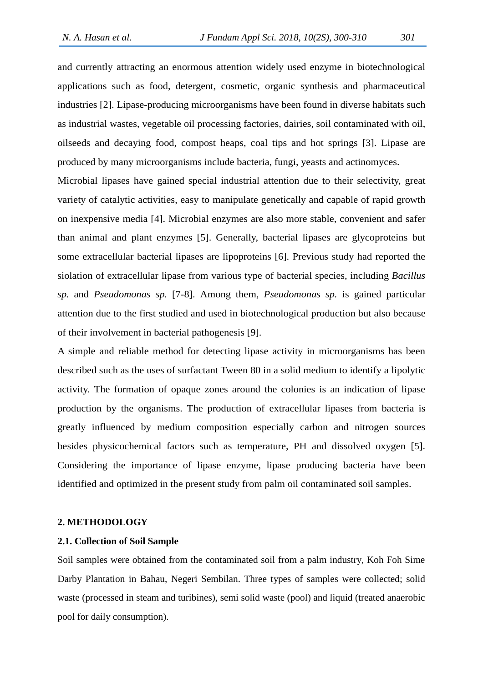and currently attracting an enormous attention widely used enzyme in biotechnological applications such as food, detergent, cosmetic, organic synthesis and pharmaceutical industries [2]. Lipase-producing microorganisms have been found in diverse habitats such as industrial wastes, vegetable oil processing factories, dairies, soil contaminated with oil, oilseeds and decaying food, compost heaps, coal tips and hot springs [3]. Lipase are produced by many microorganisms include bacteria, fungi, yeasts and actinomyces.

Microbial lipases have gained special industrial attention due to their selectivity, great variety of catalytic activities, easy to manipulate genetically and capable of rapid growth on inexpensive media [4]. Microbial enzymes are also more stable, convenient and safer than animal and plant enzymes [5]. Generally, bacterial lipases are glycoproteins but some extracellular bacterial lipases are lipoproteins [6]. Previous study had reported the siolation of extracellular lipase from various type of bacterial species, including *Bacillus sp.* and *Pseudomonas sp.* [7-8]. Among them, *Pseudomonas sp.* is gained particular attention due to the first studied and used in biotechnological production but also because of their involvement in bacterial pathogenesis [9].

A simple and reliable method for detecting lipase activity in microorganisms has been described such as the uses of surfactant Tween 80 in a solid medium to identify a lipolytic activity. The formation of opaque zones around the colonies is an indication of lipase production by the organisms. The production of extracellular lipases from bacteria is greatly influenced by medium composition especially carbon and nitrogen sources besides physicochemical factors such as temperature, PH and dissolved oxygen [5]. Considering the importance of lipase enzyme, lipase producing bacteria have been identified and optimized in the present study from palm oil contaminated soil samples.

#### **2. METHODOLOGY**

#### **2.1. Collection of Soil Sample**

Soil samples were obtained from the contaminated soil from a palm industry, Koh Foh Sime Darby Plantation in Bahau, Negeri Sembilan. Three types of samples were collected; solid waste (processed in steam and turibines), semi solid waste (pool) and liquid (treated anaerobic pool for daily consumption).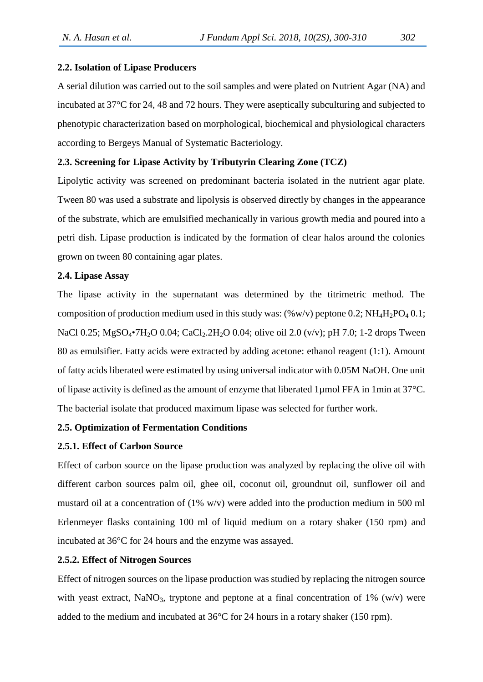#### **2.2. Isolation of Lipase Producers**

A serial dilution was carried out to the soil samples and were plated on Nutrient Agar (NA) and incubated at 37°C for 24, 48 and 72 hours. They were aseptically subculturing and subjected to phenotypic characterization based on morphological, biochemical and physiological characters according to Bergeys Manual of Systematic Bacteriology.

## **2.3. Screening for Lipase Activity by Tributyrin Clearing Zone (TCZ)**

Lipolytic activity was screened on predominant bacteria isolated in the nutrient agar plate. Tween 80 was used a substrate and lipolysis is observed directly by changes in the appearance of the substrate, which are emulsified mechanically in various growth media and poured into a petri dish. Lipase production is indicated by the formation of clear halos around the colonies grown on tween 80 containing agar plates.

#### **2.4. Lipase Assay**

The lipase activity in the supernatant was determined by the titrimetric method. The composition of production medium used in this study was:  $(\% w/v)$  peptone 0.2; NH<sub>4</sub>H<sub>2</sub>PO<sub>4</sub> 0.1; NaCl 0.25; MgSO<sub>4</sub>•7H<sub>2</sub>O 0.04; CaCl<sub>2</sub>.2H<sub>2</sub>O 0.04; olive oil 2.0 (v/v); pH 7.0; 1-2 drops Tween 80 as emulsifier. Fatty acids were extracted by adding acetone: ethanol reagent (1:1). Amount of fatty acids liberated were estimated by using universal indicator with 0.05M NaOH. One unit of lipase activity is defined as the amount of enzyme that liberated 1µmol FFA in 1min at 37°C. The bacterial isolate that produced maximum lipase was selected for further work.

#### **2.5. Optimization of Fermentation Conditions**

#### **2.5.1. Effect of Carbon Source**

Effect of carbon source on the lipase production was analyzed by replacing the olive oil with different carbon sources palm oil, ghee oil, coconut oil, groundnut oil, sunflower oil and mustard oil at a concentration of (1% w/v) were added into the production medium in 500 ml Erlenmeyer flasks containing 100 ml of liquid medium on a rotary shaker (150 rpm) and incubated at 36°C for 24 hours and the enzyme was assayed.

#### **2.5.2. Effect of Nitrogen Sources**

Effect of nitrogen sources on the lipase production was studied by replacing the nitrogen source with yeast extract, NaNO<sub>3</sub>, tryptone and peptone at a final concentration of 1% (w/v) were added to the medium and incubated at 36°C for 24 hours in a rotary shaker (150 rpm).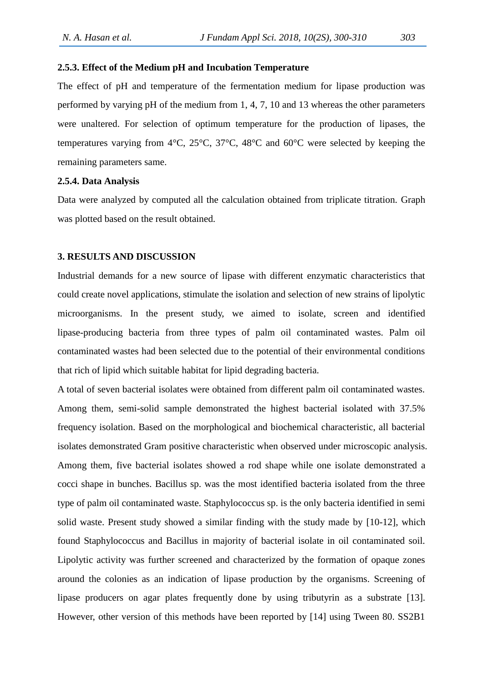# **2.5.3. Effect of the Medium pH and Incubation Temperature**

The effect of pH and temperature of the fermentation medium for lipase production was performed by varying pH of the medium from 1, 4, 7, 10 and 13 whereas the other parameters were unaltered. For selection of optimum temperature for the production of lipases, the temperatures varying from 4°C, 25°C, 37°C, 48°C and 60°C were selected by keeping the remaining parameters same.

#### **2.5.4. Data Analysis**

Data were analyzed by computed all the calculation obtained from triplicate titration. Graph was plotted based on the result obtained.

#### **3. RESULTS AND DISCUSSION**

Industrial demands for a new source of lipase with different enzymatic characteristics that could create novel applications, stimulate the isolation and selection of new strains of lipolytic microorganisms. In the present study, we aimed to isolate, screen and identified lipase-producing bacteria from three types of palm oil contaminated wastes. Palm oil contaminated wastes had been selected due to the potential of their environmental conditions that rich of lipid which suitable habitat for lipid degrading bacteria.

A total of seven bacterial isolates were obtained from different palm oil contaminated wastes. Among them, semi-solid sample demonstrated the highest bacterial isolated with 37.5% frequency isolation. Based on the morphological and biochemical characteristic, all bacterial isolates demonstrated Gram positive characteristic when observed under microscopic analysis. Among them, five bacterial isolates showed a rod shape while one isolate demonstrated a cocci shape in bunches. Bacillus sp. was the most identified bacteria isolated from the three type of palm oil contaminated waste. Staphylococcus sp. is the only bacteria identified in semi solid waste. Present study showed a similar finding with the study made by [10-12], which found Staphylococcus and Bacillus in majority of bacterial isolate in oil contaminated soil. Lipolytic activity was further screened and characterized by the formation of opaque zones around the colonies as an indication of lipase production by the organisms. Screening of lipase producers on agar plates frequently done by using tributyrin as a substrate [13]. However, other version of this methods have been reported by [14] using Tween 80. SS2B1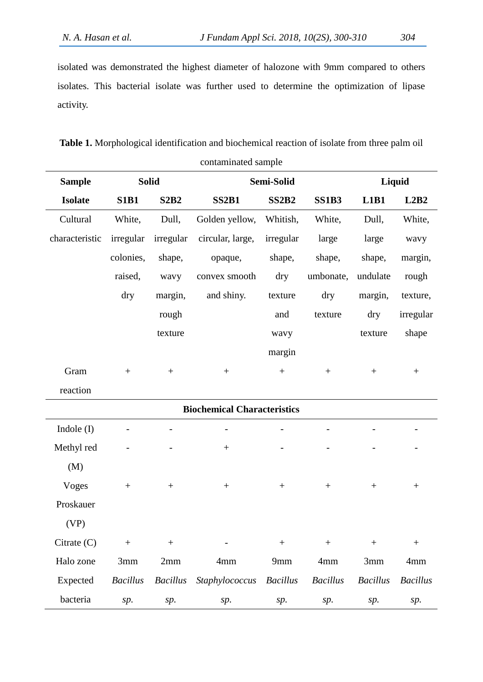isolated was demonstrated the highest diameter of halozone with 9mm compared to others isolates. This bacterial isolate was further used to determine the optimization of lipase activity.

**Table 1.** Morphological identification and biochemical reaction of isolate from three palm oil contaminated sample

| <b>Sample</b>  | <b>Solid</b>     |                  | Semi-Solid                         |                          |                  | Liquid           |                          |
|----------------|------------------|------------------|------------------------------------|--------------------------|------------------|------------------|--------------------------|
| <b>Isolate</b> | <b>S1B1</b>      | <b>S2B2</b>      | <b>SS2B1</b>                       | <b>SS2B2</b>             | <b>SS1B3</b>     | L1B1             | L2B2                     |
| Cultural       | White,           | Dull,            | Golden yellow,                     | Whitish,                 | White,           | Dull,            | White,                   |
| characteristic | irregular        | irregular        | circular, large,                   | irregular                | large            | large            | wavy                     |
|                | colonies,        | shape,           | opaque,                            | shape,                   | shape,           | shape,           | margin,                  |
|                | raised,          | wavy             | convex smooth                      | dry                      | umbonate,        | undulate         | rough                    |
|                | dry              | margin,          | and shiny.                         | texture                  | dry              | margin,          | texture,                 |
|                |                  | rough            |                                    | and                      | texture          | dry              | irregular                |
|                |                  | texture          |                                    | wavy                     |                  | texture          | shape                    |
|                |                  |                  |                                    | margin                   |                  |                  |                          |
| Gram           | $\boldsymbol{+}$ | $\boldsymbol{+}$ | $\boldsymbol{+}$                   | $\boldsymbol{+}$         | $\boldsymbol{+}$ | $\boldsymbol{+}$ | $\boldsymbol{+}$         |
| reaction       |                  |                  |                                    |                          |                  |                  |                          |
|                |                  |                  | <b>Biochemical Characteristics</b> |                          |                  |                  |                          |
| Indole (I)     | ÷,               |                  | $\overline{\phantom{0}}$           | $\overline{\phantom{0}}$ |                  |                  |                          |
| Methyl red     |                  |                  | $\boldsymbol{+}$                   |                          |                  |                  | $\overline{\phantom{a}}$ |
| (M)            |                  |                  |                                    |                          |                  |                  |                          |
| <b>Voges</b>   | $\boldsymbol{+}$ | $\boldsymbol{+}$ | $\boldsymbol{+}$                   |                          | $\boldsymbol{+}$ | $\boldsymbol{+}$ | $^{+}$                   |
| Proskauer      |                  |                  |                                    |                          |                  |                  |                          |
| (VP)           |                  |                  |                                    |                          |                  |                  |                          |
| Citrate $(C)$  | $\boldsymbol{+}$ | $\boldsymbol{+}$ |                                    | $\boldsymbol{+}$         | $\boldsymbol{+}$ | $\boldsymbol{+}$ |                          |
| Halo zone      | 3mm              | 2mm              | 4mm                                | 9mm                      | 4mm              | 3mm              | 4mm                      |
| Expected       | <b>Bacillus</b>  | <b>Bacillus</b>  | Staphylococcus                     | <b>Bacillus</b>          | <b>Bacillus</b>  | <b>Bacillus</b>  | <b>Bacillus</b>          |
| bacteria       | sp.              | sp.              | sp.                                | sp.                      | sp.              | sp.              | sp.                      |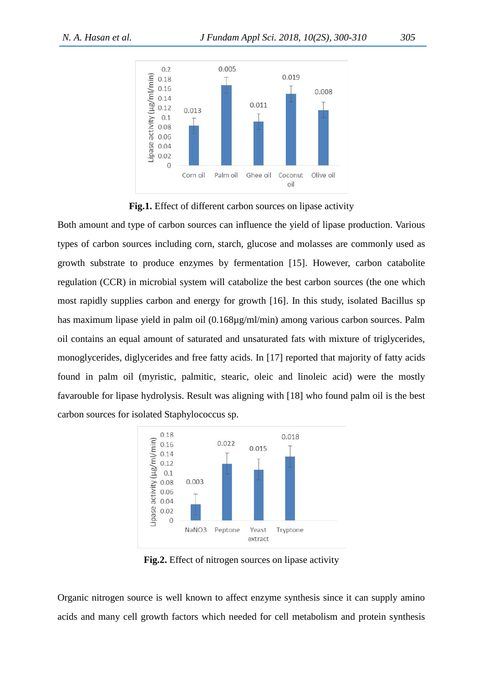



Both amount and type of carbon sources can influence the yield of lipase production. Various types of carbon sources including corn, starch, glucose and molasses are commonly used as growth substrate to produce enzymes by fermentation [15]. However, carbon catabolite regulation (CCR) in microbial system will catabolize the best carbon sources (the one which most rapidly supplies carbon and energy for growth [16]. In this study, isolated Bacillus sp has maximum lipase yield in palm oil (0.168µg/ml/min) among various carbon sources. Palm oil contains an equal amount of saturated and unsaturated fats with mixture of triglycerides, monoglycerides, diglycerides and free fatty acids. In [17] reported that majority of fatty acids found in palm oil (myristic, palmitic, stearic, oleic and linoleic acid) were the mostly favarouble for lipase hydrolysis. Result was aligning with [18] who found palm oil is the best carbon sources for isolated Staphylococcus sp.



**Fig.2.** Effect of nitrogen sources on lipase activity

Organic nitrogen source is well known to affect enzyme synthesis since it can supply amino acids and many cell growth factors which needed for cell metabolism and protein synthesis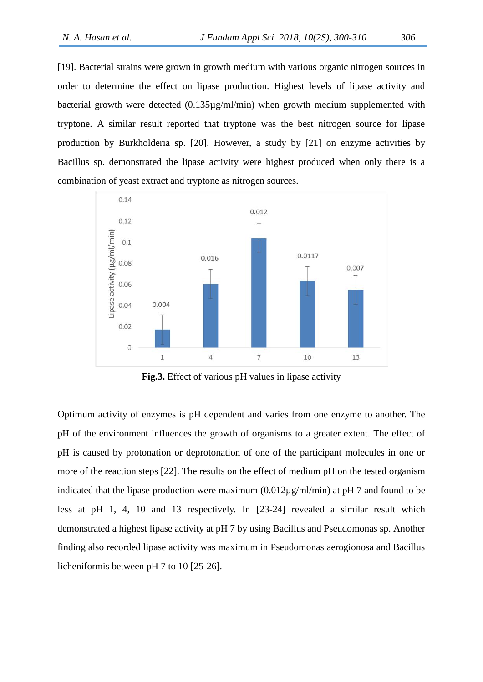[19]. Bacterial strains were grown in growth medium with various organic nitrogen sources in order to determine the effect on lipase production. Highest levels of lipase activity and bacterial growth were detected (0.135µg/ml/min) when growth medium supplemented with tryptone. A similar result reported that tryptone was the best nitrogen source for lipase production by Burkholderia sp. [20]. However, a study by [21] on enzyme activities by Bacillus sp. demonstrated the lipase activity were highest produced when only there is a combination of yeast extract and tryptone as nitrogen sources.



**Fig.3.** Effect of various pH values in lipase activity

Optimum activity of enzymes is pH dependent and varies from one enzyme to another. The pH of the environment influences the growth of organisms to a greater extent. The effect of pH is caused by protonation or deprotonation of one of the participant molecules in one or more of the reaction steps [22]. The results on the effect of medium pH on the tested organism indicated that the lipase production were maximum  $(0.012\mu g/ml/min)$  at pH 7 and found to be less at pH 1, 4, 10 and 13 respectively. In [23-24] revealed a similar result which demonstrated a highest lipase activity at pH 7 by using Bacillus and Pseudomonas sp. Another finding also recorded lipase activity was maximum in Pseudomonas aerogionosa and Bacillus licheniformis between pH 7 to 10 [25-26].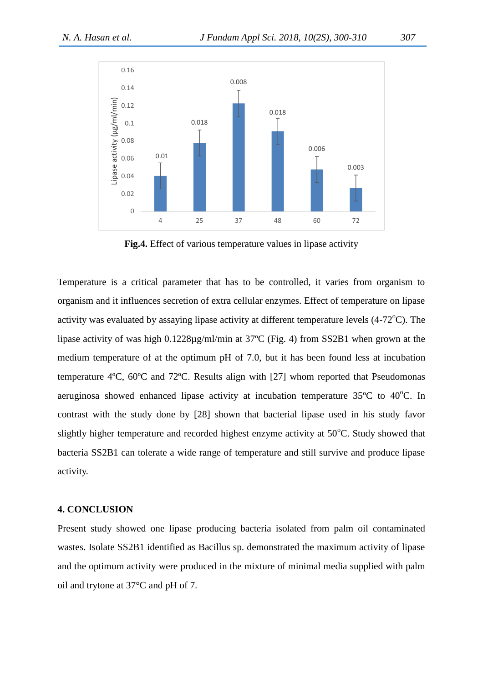

**Fig.4.** Effect of various temperature values in lipase activity

Temperature is a critical parameter that has to be controlled, it varies from organism to organism and it influences secretion of extra cellular enzymes. Effect of temperature on lipase activity was evaluated by assaying lipase activity at different temperature levels  $(4-72^{\circ}C)$ . The lipase activity of was high 0.1228µg/ml/min at 37ºC (Fig. 4) from SS2B1 when grown at the medium temperature of at the optimum pH of 7.0, but it has been found less at incubation temperature 4ºC, 60ºC and 72ºC. Results align with [27] whom reported that Pseudomonas aeruginosa showed enhanced lipase activity at incubation temperature  $35^{\circ}$ C to  $40^{\circ}$ C. In contrast with the study done by [28] shown that bacterial lipase used in his study favor slightly higher temperature and recorded highest enzyme activity at  $50^{\circ}$ C. Study showed that bacteria SS2B1 can tolerate a wide range of temperature and still survive and produce lipase activity.

#### **4. CONCLUSION**

Present study showed one lipase producing bacteria isolated from palm oil contaminated wastes. Isolate SS2B1 identified as Bacillus sp. demonstrated the maximum activity of lipase and the optimum activity were produced in the mixture of minimal media supplied with palm oil and trytone at 37°C and pH of 7.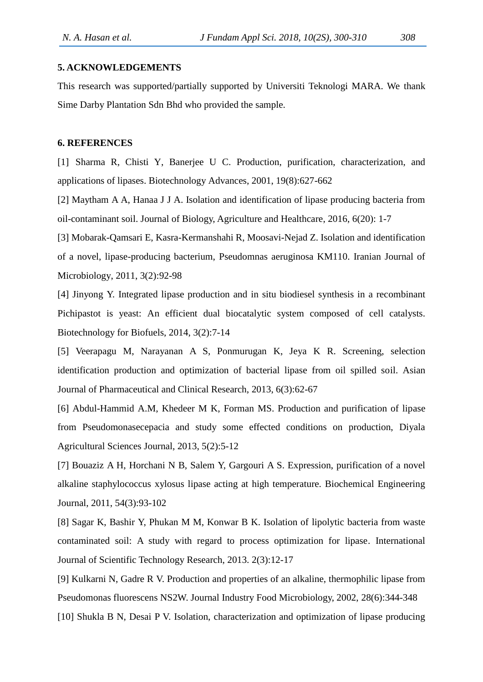## **5. ACKNOWLEDGEMENTS**

This research was supported/partially supported by Universiti Teknologi MARA. We thank Sime Darby Plantation Sdn Bhd who provided the sample.

#### **6. REFERENCES**

[1] Sharma R, Chisti Y, Banerjee U C. Production, purification, characterization, and applications of lipases. Biotechnology Advances, 2001, 19(8):627-662

[2] Maytham A A, Hanaa J J A. Isolation and identification of lipase producing bacteria from oil-contaminant soil. Journal of Biology, Agriculture and Healthcare, 2016, 6(20): 1-7

[3] Mobarak-Qamsari E, Kasra-Kermanshahi R, Moosavi-Nejad Z. Isolation and identification of a novel, lipase-producing bacterium, Pseudomnas aeruginosa KM110. Iranian Journal of Microbiology, 2011, 3(2):92-98

[4] Jinyong Y. Integrated lipase production and in situ biodiesel synthesis in a recombinant Pichipastot is yeast: An efficient dual biocatalytic system composed of cell catalysts. Biotechnology for Biofuels, 2014, 3(2):7-14

[5] Veerapagu M, Narayanan A S, Ponmurugan K, Jeya K R. Screening, selection identification production and optimization of bacterial lipase from oil spilled soil. Asian Journal of Pharmaceutical and Clinical Research, 2013, 6(3):62-67

[6] Abdul-Hammid A.M, Khedeer M K, Forman MS. Production and purification of lipase from Pseudomonasecepacia and study some effected conditions on production, Diyala Agricultural Sciences Journal, 2013, 5(2):5-12

[7] Bouaziz A H, Horchani N B, Salem Y, Gargouri A S. Expression, purification of a novel alkaline staphylococcus xylosus lipase acting at high temperature. Biochemical Engineering Journal, 2011, 54(3):93-102

[8] Sagar K, Bashir Y, Phukan M M, Konwar B K. Isolation of lipolytic bacteria from waste contaminated soil: A study with regard to process optimization for lipase. International Journal of Scientific Technology Research, 2013. 2(3):12-17

[9] Kulkarni N, Gadre R V. Production and properties of an alkaline, thermophilic lipase from Pseudomonas fluorescens NS2W. Journal Industry Food Microbiology, 2002, 28(6):344-348

[10] Shukla B N, Desai P V. Isolation, characterization and optimization of lipase producing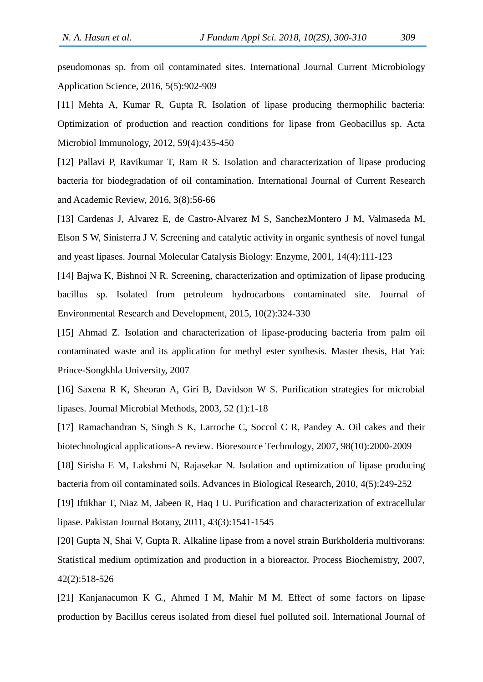pseudomonas sp. from oil contaminated sites. International Journal Current Microbiology Application Science, 2016, 5(5):902-909

[11] Mehta A, Kumar R, Gupta R. Isolation of lipase producing thermophilic bacteria: Optimization of production and reaction conditions for lipase from Geobacillus sp. Acta Microbiol Immunology, 2012, 59(4):435-450

[12] Pallavi P, Ravikumar T, Ram R S. Isolation and characterization of lipase producing bacteria for biodegradation of oil contamination. International Journal of Current Research and Academic Review, 2016, 3(8):56-66

[13] Cardenas J, Alvarez E, de Castro-Alvarez M S, SanchezMontero J M, Valmaseda M, Elson S W, Sinisterra J V. Screening and catalytic activity in organic synthesis of novel fungal and yeast lipases. Journal Molecular Catalysis Biology: Enzyme, 2001, 14(4):111-123

[14] Bajwa K, Bishnoi N R. Screening, characterization and optimization of lipase producing bacillus sp. Isolated from petroleum hydrocarbons contaminated site. Journal of Environmental Research and Development, 2015, 10(2):324-330

[15] Ahmad Z. Isolation and characterization of lipase-producing bacteria from palm oil contaminated waste and its application for methyl ester synthesis. Master thesis, Hat Yai: Prince-Songkhla University, 2007

[16] Saxena R K, Sheoran A, Giri B, Davidson W S. Purification strategies for microbial lipases. Journal Microbial Methods, 2003, 52 (1):1-18

[17] Ramachandran S, Singh S K, Larroche C, Soccol C R, Pandey A. Oil cakes and their biotechnological applications-A review. Bioresource Technology, 2007, 98(10):2000-2009

[18] Sirisha E M, Lakshmi N, Rajasekar N. Isolation and optimization of lipase producing bacteria from oil contaminated soils. Advances in Biological Research, 2010, 4(5):249-252

[19] Iftikhar T, Niaz M, Jabeen R, Haq I U. Purification and characterization of extracellular lipase. Pakistan Journal Botany, 2011, 43(3):1541-1545

[20] Gupta N, Shai V, Gupta R. Alkaline lipase from a novel strain Burkholderia multivorans: Statistical medium optimization and production in a bioreactor. Process Biochemistry, 2007, 42(2):518-526

[21] Kanjanacumon K G., Ahmed I M, Mahir M M. Effect of some factors on lipase production by Bacillus cereus isolated from diesel fuel polluted soil. International Journal of